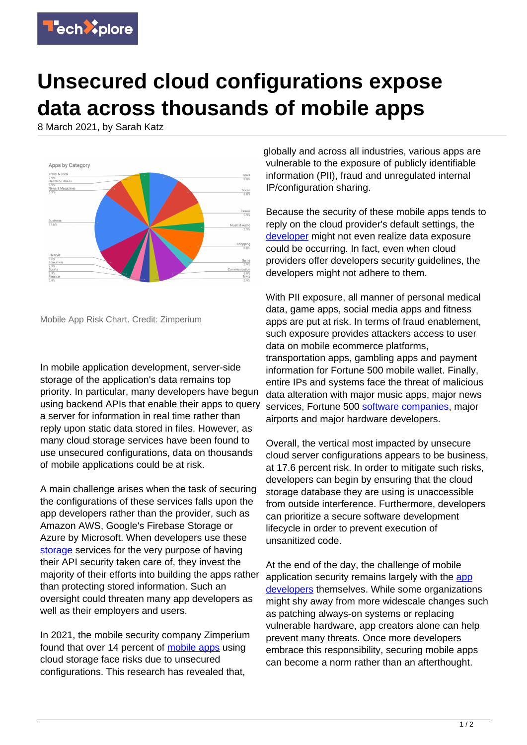

## **Unsecured cloud configurations expose data across thousands of mobile apps**

8 March 2021, by Sarah Katz



Mobile App Risk Chart. Credit: Zimperium

In mobile application development, server-side storage of the application's data remains top priority. In particular, many developers have begun using backend APIs that enable their apps to query a server for information in real time rather than reply upon static data stored in files. However, as many cloud storage services have been found to use unsecured configurations, data on thousands of mobile applications could be at risk.

A main challenge arises when the task of securing the configurations of these services falls upon the app developers rather than the provider, such as Amazon AWS, Google's Firebase Storage or Azure by Microsoft. When developers use these [storage](https://techxplore.com/tags/storage/) services for the very purpose of having their API security taken care of, they invest the majority of their efforts into building the apps rather than protecting stored information. Such an oversight could threaten many app developers as well as their employers and users.

In 2021, the mobile security company Zimperium found that over 14 percent of [mobile apps](https://techxplore.com/tags/mobile+apps/) using cloud storage face risks due to unsecured configurations. This research has revealed that,

globally and across all industries, various apps are vulnerable to the exposure of publicly identifiable information (PII), fraud and unregulated internal IP/configuration sharing.

Because the security of these mobile apps tends to reply on the cloud provider's default settings, the [developer](https://techxplore.com/tags/developer/) might not even realize data exposure could be occurring. In fact, even when cloud providers offer developers security guidelines, the developers might not adhere to them.

With PII exposure, all manner of personal medical data, game apps, social media apps and fitness apps are put at risk. In terms of fraud enablement, such exposure provides attackers access to user data on mobile ecommerce platforms, transportation apps, gambling apps and payment information for Fortune 500 mobile wallet. Finally, entire IPs and systems face the threat of malicious data alteration with major music apps, major news services, Fortune 500 [software companies](https://techxplore.com/tags/software+companies/), major airports and major hardware developers.

Overall, the vertical most impacted by unsecure cloud server configurations appears to be business, at 17.6 percent risk. In order to mitigate such risks, developers can begin by ensuring that the cloud storage database they are using is unaccessible from outside interference. Furthermore, developers can prioritize a secure software development lifecycle in order to prevent execution of unsanitized code.

At the end of the day, the challenge of mobile [app](https://techxplore.com/tags/app+developers/)lication security remains largely with the app [developers](https://techxplore.com/tags/app+developers/) themselves. While some organizations might shy away from more widescale changes such as patching always-on systems or replacing vulnerable hardware, app creators alone can help prevent many threats. Once more developers embrace this responsibility, securing mobile apps can become a norm rather than an afterthought.